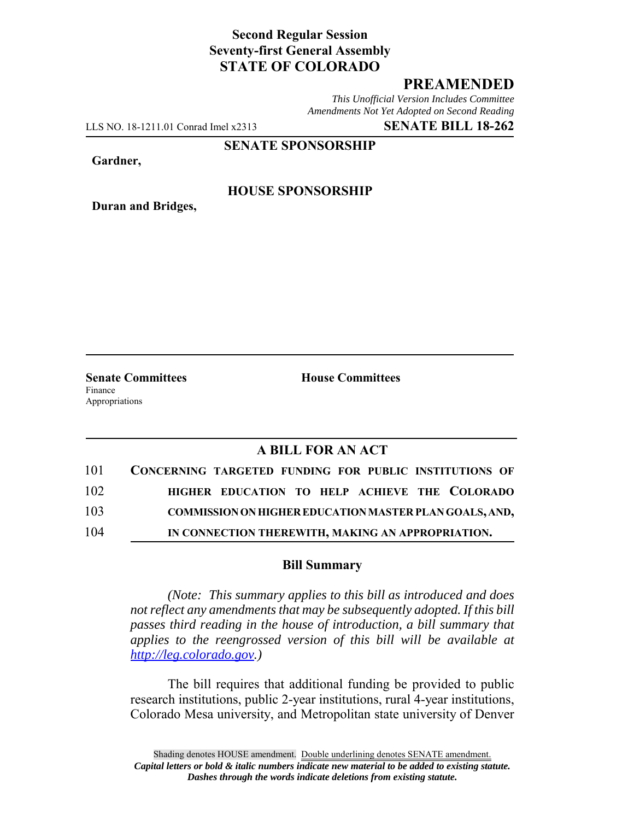# **Second Regular Session Seventy-first General Assembly STATE OF COLORADO**

# **PREAMENDED**

*This Unofficial Version Includes Committee Amendments Not Yet Adopted on Second Reading*

LLS NO. 18-1211.01 Conrad Imel x2313 **SENATE BILL 18-262**

**SENATE SPONSORSHIP**

**Gardner,**

**Duran and Bridges,**

### **HOUSE SPONSORSHIP**

**Senate Committees House Committees** Finance Appropriations

# **A BILL FOR AN ACT**

| 101 | CONCERNING TARGETED FUNDING FOR PUBLIC INSTITUTIONS OF |
|-----|--------------------------------------------------------|
| 102 | HIGHER EDUCATION TO HELP ACHIEVE THE COLORADO          |
| 103 | COMMISSION ON HIGHER EDUCATION MASTER PLAN GOALS, AND, |
| 104 | IN CONNECTION THEREWITH, MAKING AN APPROPRIATION.      |

#### **Bill Summary**

*(Note: This summary applies to this bill as introduced and does not reflect any amendments that may be subsequently adopted. If this bill passes third reading in the house of introduction, a bill summary that applies to the reengrossed version of this bill will be available at http://leg.colorado.gov.)*

The bill requires that additional funding be provided to public research institutions, public 2-year institutions, rural 4-year institutions, Colorado Mesa university, and Metropolitan state university of Denver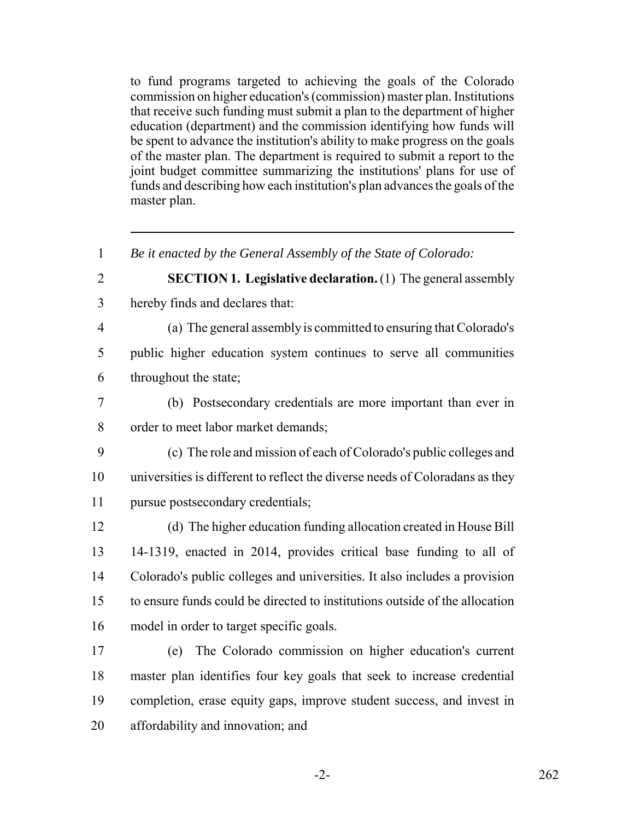to fund programs targeted to achieving the goals of the Colorado commission on higher education's (commission) master plan. Institutions that receive such funding must submit a plan to the department of higher education (department) and the commission identifying how funds will be spent to advance the institution's ability to make progress on the goals of the master plan. The department is required to submit a report to the joint budget committee summarizing the institutions' plans for use of funds and describing how each institution's plan advances the goals of the master plan.

 *Be it enacted by the General Assembly of the State of Colorado:* **SECTION 1. Legislative declaration.** (1) The general assembly hereby finds and declares that: (a) The general assembly is committed to ensuring that Colorado's public higher education system continues to serve all communities throughout the state; (b) Postsecondary credentials are more important than ever in order to meet labor market demands; (c) The role and mission of each of Colorado's public colleges and universities is different to reflect the diverse needs of Coloradans as they pursue postsecondary credentials; (d) The higher education funding allocation created in House Bill 14-1319, enacted in 2014, provides critical base funding to all of Colorado's public colleges and universities. It also includes a provision to ensure funds could be directed to institutions outside of the allocation model in order to target specific goals. (e) The Colorado commission on higher education's current master plan identifies four key goals that seek to increase credential completion, erase equity gaps, improve student success, and invest in

affordability and innovation; and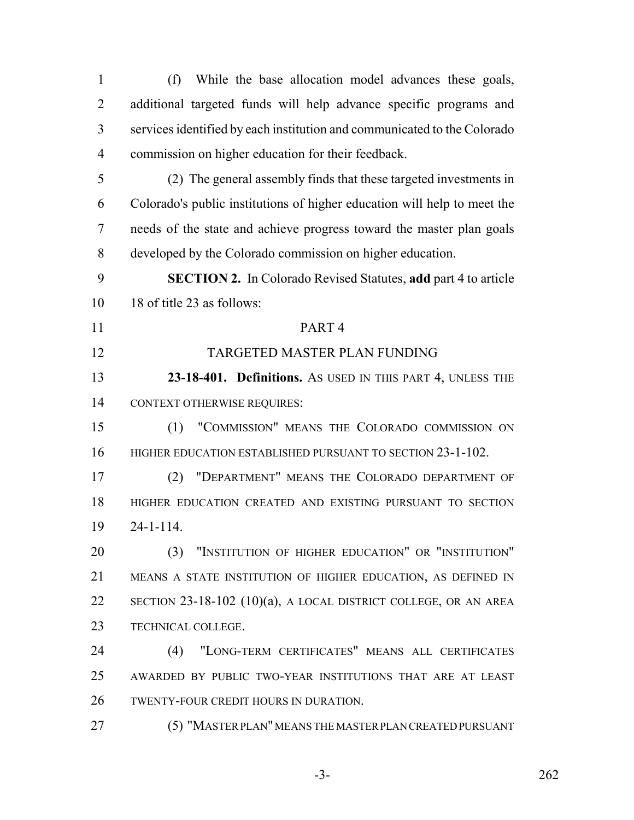(f) While the base allocation model advances these goals, additional targeted funds will help advance specific programs and services identified by each institution and communicated to the Colorado commission on higher education for their feedback. (2) The general assembly finds that these targeted investments in Colorado's public institutions of higher education will help to meet the needs of the state and achieve progress toward the master plan goals developed by the Colorado commission on higher education. **SECTION 2.** In Colorado Revised Statutes, **add** part 4 to article 18 of title 23 as follows: PART 4 TARGETED MASTER PLAN FUNDING **23-18-401. Definitions.** AS USED IN THIS PART 4, UNLESS THE CONTEXT OTHERWISE REQUIRES: (1) "COMMISSION" MEANS THE COLORADO COMMISSION ON 16 HIGHER EDUCATION ESTABLISHED PURSUANT TO SECTION 23-1-102. (2) "DEPARTMENT" MEANS THE COLORADO DEPARTMENT OF HIGHER EDUCATION CREATED AND EXISTING PURSUANT TO SECTION 24-1-114. (3) "INSTITUTION OF HIGHER EDUCATION" OR "INSTITUTION" MEANS A STATE INSTITUTION OF HIGHER EDUCATION, AS DEFINED IN SECTION 23-18-102 (10)(a), A LOCAL DISTRICT COLLEGE, OR AN AREA TECHNICAL COLLEGE. (4) "LONG-TERM CERTIFICATES" MEANS ALL CERTIFICATES AWARDED BY PUBLIC TWO-YEAR INSTITUTIONS THAT ARE AT LEAST TWENTY-FOUR CREDIT HOURS IN DURATION. (5) "MASTER PLAN" MEANS THE MASTER PLAN CREATED PURSUANT

-3- 262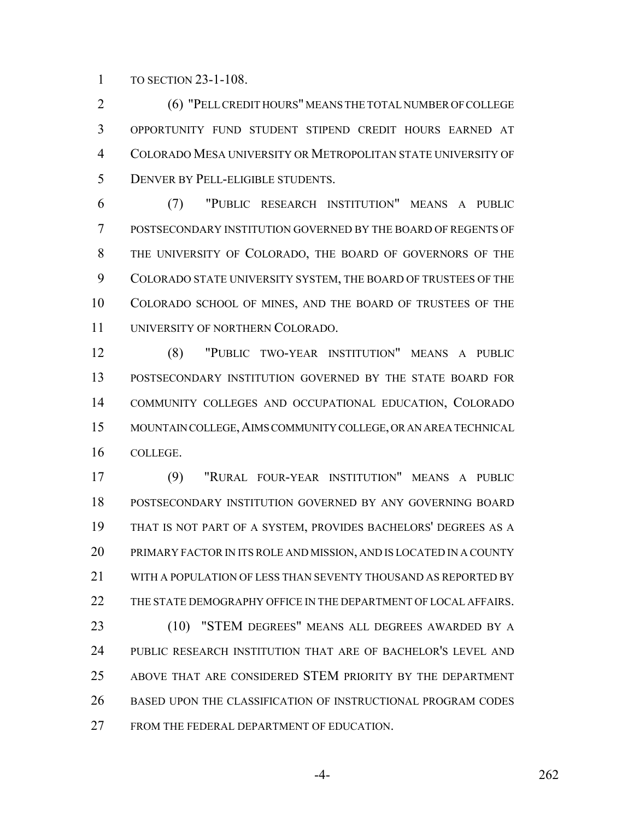TO SECTION 23-1-108.

 (6) "PELL CREDIT HOURS" MEANS THE TOTAL NUMBER OF COLLEGE OPPORTUNITY FUND STUDENT STIPEND CREDIT HOURS EARNED AT COLORADO MESA UNIVERSITY OR METROPOLITAN STATE UNIVERSITY OF DENVER BY PELL-ELIGIBLE STUDENTS.

 (7) "PUBLIC RESEARCH INSTITUTION" MEANS A PUBLIC POSTSECONDARY INSTITUTION GOVERNED BY THE BOARD OF REGENTS OF THE UNIVERSITY OF COLORADO, THE BOARD OF GOVERNORS OF THE COLORADO STATE UNIVERSITY SYSTEM, THE BOARD OF TRUSTEES OF THE COLORADO SCHOOL OF MINES, AND THE BOARD OF TRUSTEES OF THE UNIVERSITY OF NORTHERN COLORADO.

 (8) "PUBLIC TWO-YEAR INSTITUTION" MEANS A PUBLIC POSTSECONDARY INSTITUTION GOVERNED BY THE STATE BOARD FOR COMMUNITY COLLEGES AND OCCUPATIONAL EDUCATION, COLORADO MOUNTAIN COLLEGE,AIMS COMMUNITY COLLEGE, OR AN AREA TECHNICAL COLLEGE.

 (9) "RURAL FOUR-YEAR INSTITUTION" MEANS A PUBLIC POSTSECONDARY INSTITUTION GOVERNED BY ANY GOVERNING BOARD THAT IS NOT PART OF A SYSTEM, PROVIDES BACHELORS' DEGREES AS A PRIMARY FACTOR IN ITS ROLE AND MISSION, AND IS LOCATED IN A COUNTY WITH A POPULATION OF LESS THAN SEVENTY THOUSAND AS REPORTED BY THE STATE DEMOGRAPHY OFFICE IN THE DEPARTMENT OF LOCAL AFFAIRS. (10) "STEM DEGREES" MEANS ALL DEGREES AWARDED BY A PUBLIC RESEARCH INSTITUTION THAT ARE OF BACHELOR'S LEVEL AND ABOVE THAT ARE CONSIDERED STEM PRIORITY BY THE DEPARTMENT BASED UPON THE CLASSIFICATION OF INSTRUCTIONAL PROGRAM CODES

FROM THE FEDERAL DEPARTMENT OF EDUCATION.

-4- 262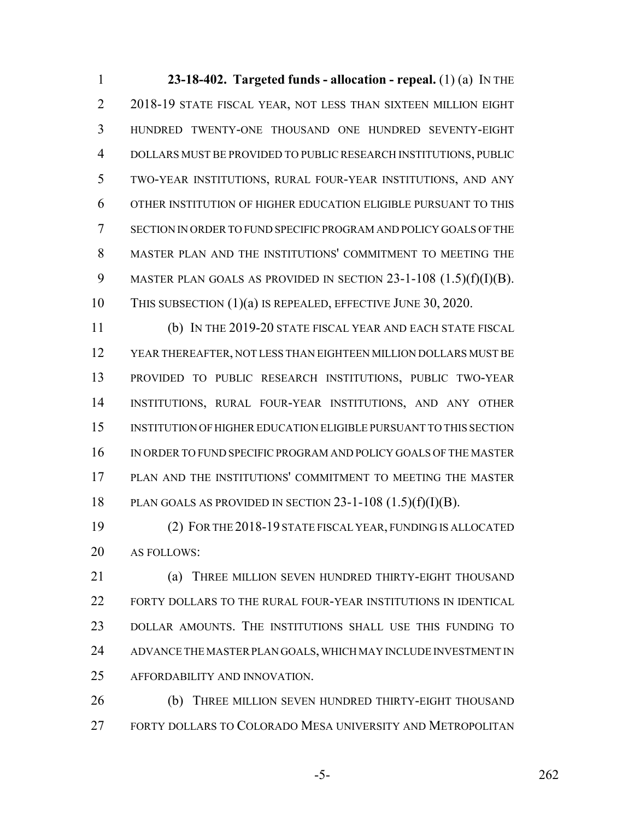**23-18-402. Targeted funds - allocation - repeal.** (1) (a) IN THE 2018-19 STATE FISCAL YEAR, NOT LESS THAN SIXTEEN MILLION EIGHT HUNDRED TWENTY-ONE THOUSAND ONE HUNDRED SEVENTY-EIGHT DOLLARS MUST BE PROVIDED TO PUBLIC RESEARCH INSTITUTIONS, PUBLIC TWO-YEAR INSTITUTIONS, RURAL FOUR-YEAR INSTITUTIONS, AND ANY OTHER INSTITUTION OF HIGHER EDUCATION ELIGIBLE PURSUANT TO THIS SECTION IN ORDER TO FUND SPECIFIC PROGRAM AND POLICY GOALS OF THE MASTER PLAN AND THE INSTITUTIONS' COMMITMENT TO MEETING THE 9 MASTER PLAN GOALS AS PROVIDED IN SECTION  $23-1-108$   $(1.5)(f)(I)(B)$ . THIS SUBSECTION (1)(a) IS REPEALED, EFFECTIVE JUNE 30, 2020.

 (b) IN THE 2019-20 STATE FISCAL YEAR AND EACH STATE FISCAL YEAR THEREAFTER, NOT LESS THAN EIGHTEEN MILLION DOLLARS MUST BE PROVIDED TO PUBLIC RESEARCH INSTITUTIONS, PUBLIC TWO-YEAR INSTITUTIONS, RURAL FOUR-YEAR INSTITUTIONS, AND ANY OTHER INSTITUTION OF HIGHER EDUCATION ELIGIBLE PURSUANT TO THIS SECTION IN ORDER TO FUND SPECIFIC PROGRAM AND POLICY GOALS OF THE MASTER PLAN AND THE INSTITUTIONS' COMMITMENT TO MEETING THE MASTER 18 PLAN GOALS AS PROVIDED IN SECTION  $23-1-108$   $(1.5)(f)(I)(B)$ .

 (2) FOR THE 2018-19 STATE FISCAL YEAR, FUNDING IS ALLOCATED AS FOLLOWS:

**(a) THREE MILLION SEVEN HUNDRED THIRTY-EIGHT THOUSAND**  FORTY DOLLARS TO THE RURAL FOUR-YEAR INSTITUTIONS IN IDENTICAL DOLLAR AMOUNTS. THE INSTITUTIONS SHALL USE THIS FUNDING TO ADVANCE THE MASTER PLAN GOALS, WHICH MAY INCLUDE INVESTMENT IN AFFORDABILITY AND INNOVATION.

**(b)** THREE MILLION SEVEN HUNDRED THIRTY-EIGHT THOUSAND FORTY DOLLARS TO COLORADO MESA UNIVERSITY AND METROPOLITAN

-5- 262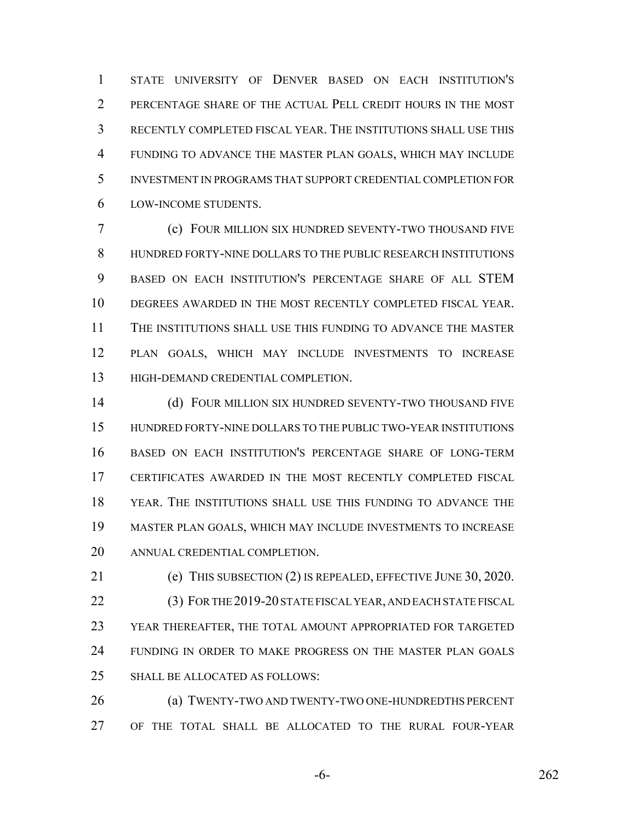STATE UNIVERSITY OF DENVER BASED ON EACH INSTITUTION'S PERCENTAGE SHARE OF THE ACTUAL PELL CREDIT HOURS IN THE MOST RECENTLY COMPLETED FISCAL YEAR. THE INSTITUTIONS SHALL USE THIS FUNDING TO ADVANCE THE MASTER PLAN GOALS, WHICH MAY INCLUDE INVESTMENT IN PROGRAMS THAT SUPPORT CREDENTIAL COMPLETION FOR LOW-INCOME STUDENTS.

 (c) FOUR MILLION SIX HUNDRED SEVENTY-TWO THOUSAND FIVE HUNDRED FORTY-NINE DOLLARS TO THE PUBLIC RESEARCH INSTITUTIONS BASED ON EACH INSTITUTION'S PERCENTAGE SHARE OF ALL STEM DEGREES AWARDED IN THE MOST RECENTLY COMPLETED FISCAL YEAR. THE INSTITUTIONS SHALL USE THIS FUNDING TO ADVANCE THE MASTER PLAN GOALS, WHICH MAY INCLUDE INVESTMENTS TO INCREASE HIGH-DEMAND CREDENTIAL COMPLETION.

14 (d) FOUR MILLION SIX HUNDRED SEVENTY-TWO THOUSAND FIVE HUNDRED FORTY-NINE DOLLARS TO THE PUBLIC TWO-YEAR INSTITUTIONS BASED ON EACH INSTITUTION'S PERCENTAGE SHARE OF LONG-TERM CERTIFICATES AWARDED IN THE MOST RECENTLY COMPLETED FISCAL YEAR. THE INSTITUTIONS SHALL USE THIS FUNDING TO ADVANCE THE MASTER PLAN GOALS, WHICH MAY INCLUDE INVESTMENTS TO INCREASE ANNUAL CREDENTIAL COMPLETION.

 (e) THIS SUBSECTION (2) IS REPEALED, EFFECTIVE JUNE 30, 2020. (3) FOR THE 2019-20 STATE FISCAL YEAR, AND EACH STATE FISCAL YEAR THEREAFTER, THE TOTAL AMOUNT APPROPRIATED FOR TARGETED FUNDING IN ORDER TO MAKE PROGRESS ON THE MASTER PLAN GOALS SHALL BE ALLOCATED AS FOLLOWS:

 (a) TWENTY-TWO AND TWENTY-TWO ONE-HUNDREDTHS PERCENT OF THE TOTAL SHALL BE ALLOCATED TO THE RURAL FOUR-YEAR

-6- 262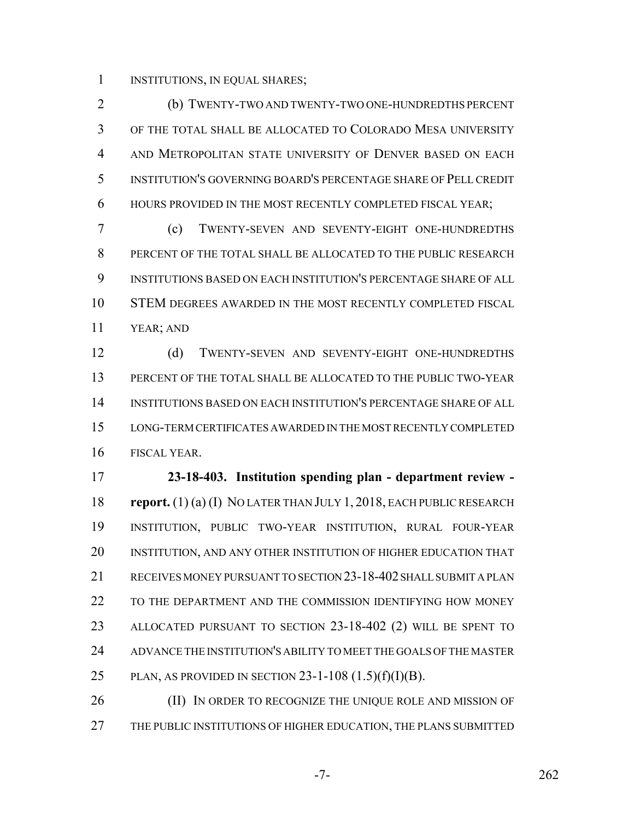INSTITUTIONS, IN EQUAL SHARES;

 (b) TWENTY-TWO AND TWENTY-TWO ONE-HUNDREDTHS PERCENT OF THE TOTAL SHALL BE ALLOCATED TO COLORADO MESA UNIVERSITY AND METROPOLITAN STATE UNIVERSITY OF DENVER BASED ON EACH INSTITUTION'S GOVERNING BOARD'S PERCENTAGE SHARE OF PELL CREDIT HOURS PROVIDED IN THE MOST RECENTLY COMPLETED FISCAL YEAR;

 (c) TWENTY-SEVEN AND SEVENTY-EIGHT ONE-HUNDREDTHS PERCENT OF THE TOTAL SHALL BE ALLOCATED TO THE PUBLIC RESEARCH INSTITUTIONS BASED ON EACH INSTITUTION'S PERCENTAGE SHARE OF ALL STEM DEGREES AWARDED IN THE MOST RECENTLY COMPLETED FISCAL YEAR; AND

 (d) TWENTY-SEVEN AND SEVENTY-EIGHT ONE-HUNDREDTHS PERCENT OF THE TOTAL SHALL BE ALLOCATED TO THE PUBLIC TWO-YEAR INSTITUTIONS BASED ON EACH INSTITUTION'S PERCENTAGE SHARE OF ALL LONG-TERM CERTIFICATES AWARDED IN THE MOST RECENTLY COMPLETED FISCAL YEAR.

 **23-18-403. Institution spending plan - department review - report.** (1) (a) (I) NO LATER THAN JULY 1, 2018, EACH PUBLIC RESEARCH INSTITUTION, PUBLIC TWO-YEAR INSTITUTION, RURAL FOUR-YEAR INSTITUTION, AND ANY OTHER INSTITUTION OF HIGHER EDUCATION THAT RECEIVES MONEY PURSUANT TO SECTION 23-18-402 SHALL SUBMIT A PLAN TO THE DEPARTMENT AND THE COMMISSION IDENTIFYING HOW MONEY ALLOCATED PURSUANT TO SECTION 23-18-402 (2) WILL BE SPENT TO ADVANCE THE INSTITUTION'S ABILITY TO MEET THE GOALS OF THE MASTER 25 PLAN, AS PROVIDED IN SECTION -1-108  $(1.5)(f)(I)(B)$ .

26 (II) IN ORDER TO RECOGNIZE THE UNIQUE ROLE AND MISSION OF THE PUBLIC INSTITUTIONS OF HIGHER EDUCATION, THE PLANS SUBMITTED

-7- 262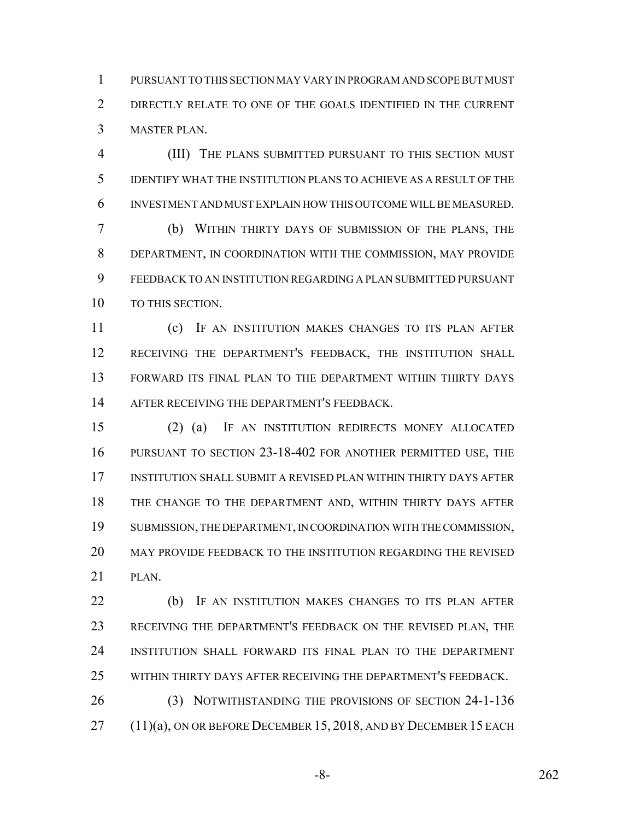PURSUANT TO THIS SECTION MAY VARY IN PROGRAM AND SCOPE BUT MUST DIRECTLY RELATE TO ONE OF THE GOALS IDENTIFIED IN THE CURRENT MASTER PLAN.

 (III) THE PLANS SUBMITTED PURSUANT TO THIS SECTION MUST IDENTIFY WHAT THE INSTITUTION PLANS TO ACHIEVE AS A RESULT OF THE INVESTMENT AND MUST EXPLAIN HOW THIS OUTCOME WILL BE MEASURED.

 (b) WITHIN THIRTY DAYS OF SUBMISSION OF THE PLANS, THE DEPARTMENT, IN COORDINATION WITH THE COMMISSION, MAY PROVIDE FEEDBACK TO AN INSTITUTION REGARDING A PLAN SUBMITTED PURSUANT 10 TO THIS SECTION.

 (c) IF AN INSTITUTION MAKES CHANGES TO ITS PLAN AFTER RECEIVING THE DEPARTMENT'S FEEDBACK, THE INSTITUTION SHALL FORWARD ITS FINAL PLAN TO THE DEPARTMENT WITHIN THIRTY DAYS AFTER RECEIVING THE DEPARTMENT'S FEEDBACK.

 (2) (a) IF AN INSTITUTION REDIRECTS MONEY ALLOCATED PURSUANT TO SECTION 23-18-402 FOR ANOTHER PERMITTED USE, THE INSTITUTION SHALL SUBMIT A REVISED PLAN WITHIN THIRTY DAYS AFTER THE CHANGE TO THE DEPARTMENT AND, WITHIN THIRTY DAYS AFTER SUBMISSION, THE DEPARTMENT, IN COORDINATION WITH THE COMMISSION, MAY PROVIDE FEEDBACK TO THE INSTITUTION REGARDING THE REVISED PLAN.

 (b) IF AN INSTITUTION MAKES CHANGES TO ITS PLAN AFTER RECEIVING THE DEPARTMENT'S FEEDBACK ON THE REVISED PLAN, THE INSTITUTION SHALL FORWARD ITS FINAL PLAN TO THE DEPARTMENT WITHIN THIRTY DAYS AFTER RECEIVING THE DEPARTMENT'S FEEDBACK.

 (3) NOTWITHSTANDING THE PROVISIONS OF SECTION 24-1-136 (11)(a), ON OR BEFORE DECEMBER 15, 2018, AND BY DECEMBER 15 EACH

-8- 262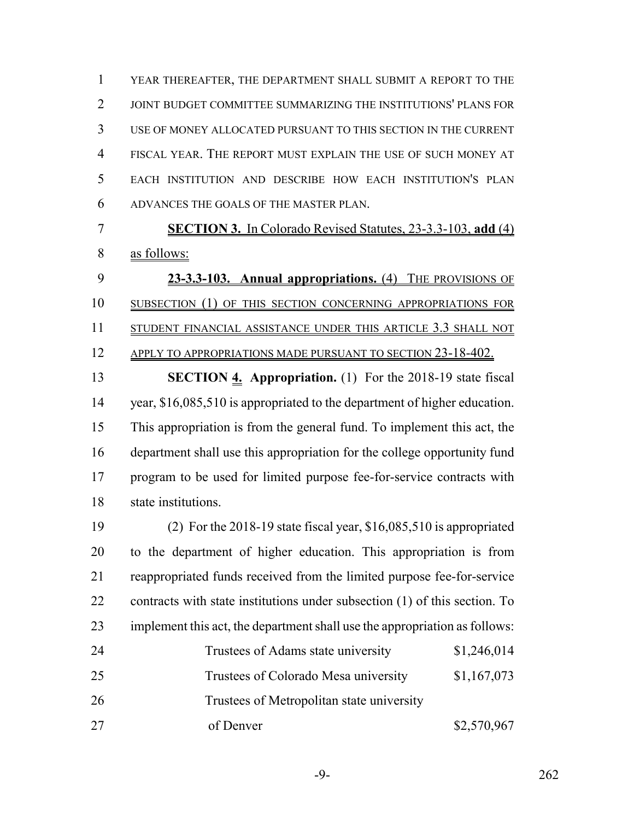YEAR THEREAFTER, THE DEPARTMENT SHALL SUBMIT A REPORT TO THE JOINT BUDGET COMMITTEE SUMMARIZING THE INSTITUTIONS' PLANS FOR USE OF MONEY ALLOCATED PURSUANT TO THIS SECTION IN THE CURRENT FISCAL YEAR. THE REPORT MUST EXPLAIN THE USE OF SUCH MONEY AT EACH INSTITUTION AND DESCRIBE HOW EACH INSTITUTION'S PLAN ADVANCES THE GOALS OF THE MASTER PLAN.

 **SECTION 3.** In Colorado Revised Statutes, 23-3.3-103, **add** (4) as follows:

 **23-3.3-103. Annual appropriations.** (4) THE PROVISIONS OF SUBSECTION (1) OF THIS SECTION CONCERNING APPROPRIATIONS FOR 11 STUDENT FINANCIAL ASSISTANCE UNDER THIS ARTICLE 3.3 SHALL NOT 12 APPLY TO APPROPRIATIONS MADE PURSUANT TO SECTION 23-18-402.

 **SECTION 4. Appropriation.** (1) For the 2018-19 state fiscal 14 year, \$16,085,510 is appropriated to the department of higher education. This appropriation is from the general fund. To implement this act, the department shall use this appropriation for the college opportunity fund program to be used for limited purpose fee-for-service contracts with state institutions.

 (2) For the 2018-19 state fiscal year, \$16,085,510 is appropriated to the department of higher education. This appropriation is from reappropriated funds received from the limited purpose fee-for-service contracts with state institutions under subsection (1) of this section. To implement this act, the department shall use the appropriation as follows: 24 Trustees of Adams state university \$1,246,014 25 Trustees of Colorado Mesa university \$1,167,073 Trustees of Metropolitan state university

27 of Denver \$2,570,967